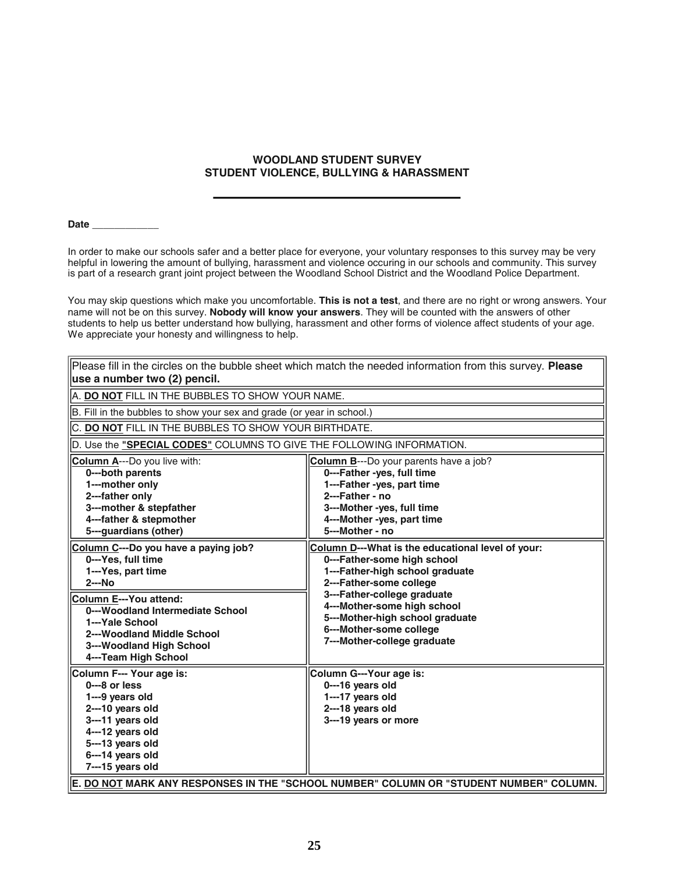## **WOODLAND STUDENT SURVEY STUDENT VIOLENCE, BULLYING & HARASSMENT**

**Date \_\_\_\_\_\_\_\_\_\_\_\_**

 $\overline{ }$ 

In order to make our schools safer and a better place for everyone, your voluntary responses to this survey may be very helpful in lowering the amount of bullying, harassment and violence occuring in our schools and community. This survey is part of a research grant joint project between the Woodland School District and the Woodland Police Department.

You may skip questions which make you uncomfortable. **This is not a test**, and there are no right or wrong answers. Your name will not be on this survey. **Nobody will know your answers**. They will be counted with the answers of other students to help us better understand how bullying, harassment and other forms of violence affect students of your age. We appreciate your honesty and willingness to help.

 $\overline{\phantom{0}}$ 

| Please fill in the circles on the bubble sheet which match the needed information from this survey. Please                                                                                                                                                     |                                                                                                                                                                                                                                                                                                           |  |  |  |
|----------------------------------------------------------------------------------------------------------------------------------------------------------------------------------------------------------------------------------------------------------------|-----------------------------------------------------------------------------------------------------------------------------------------------------------------------------------------------------------------------------------------------------------------------------------------------------------|--|--|--|
| use a number two (2) pencil.                                                                                                                                                                                                                                   |                                                                                                                                                                                                                                                                                                           |  |  |  |
| A. DO NOT FILL IN THE BUBBLES TO SHOW YOUR NAME.                                                                                                                                                                                                               |                                                                                                                                                                                                                                                                                                           |  |  |  |
| B. Fill in the bubbles to show your sex and grade (or year in school.)                                                                                                                                                                                         |                                                                                                                                                                                                                                                                                                           |  |  |  |
| C. DO NOT FILL IN THE BUBBLES TO SHOW YOUR BIRTHDATE.                                                                                                                                                                                                          |                                                                                                                                                                                                                                                                                                           |  |  |  |
| D. Use the "SPECIAL CODES" COLUMNS TO GIVE THE FOLLOWING INFORMATION.                                                                                                                                                                                          |                                                                                                                                                                                                                                                                                                           |  |  |  |
| <b>Column A---Do you live with:</b><br>0---both parents<br>1---mother only<br>2---father only<br>3---mother & stepfather<br>4---father & stepmother<br>5---guardians (other)                                                                                   | <b>Column B---Do your parents have a job?</b><br>0---Father -yes, full time<br>1---Father -yes, part time<br>2---Father - no<br>3---Mother -yes, full time<br>4---Mother -yes, part time<br>5---Mother - no                                                                                               |  |  |  |
| Column C---Do you have a paying job?<br>0---Yes, full time<br>1---Yes, part time<br>$2--No$<br>Column E---You attend:<br>0---Woodland Intermediate School<br>1---Yale School<br>2---Woodland Middle School<br>3---Woodland High School<br>4---Team High School | Column D---What is the educational level of your:<br>0---Father-some high school<br>1---Father-high school graduate<br>2---Father-some college<br>3---Father-college graduate<br>4---Mother-some high school<br>5---Mother-high school graduate<br>6---Mother-some college<br>7---Mother-college graduate |  |  |  |
| Column F--- Your age is:<br>$0--8$ or less<br>1---9 years old<br>2---10 years old<br>3---11 years old<br>4---12 years old<br>5---13 years old<br>6---14 years old<br>7---15 years old                                                                          | Column G---Your age is:<br>0---16 years old<br>1---17 years old<br>2---18 years old<br>3---19 years or more                                                                                                                                                                                               |  |  |  |
|                                                                                                                                                                                                                                                                | E. DO NOT MARK ANY RESPONSES IN THE "SCHOOL NUMBER" COLUMN OR "STUDENT NUMBER" COLUMN.                                                                                                                                                                                                                    |  |  |  |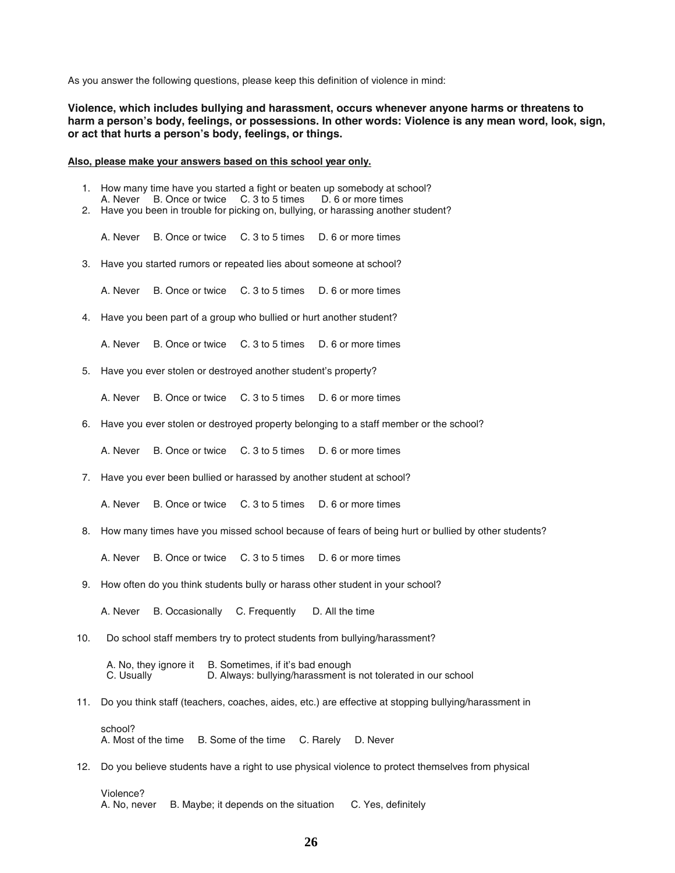As you answer the following questions, please keep this definition of violence in mind:

**Violence, which includes bullying and harassment, occurs whenever anyone harms or threatens to harm a person's body, feelings, or possessions. In other words: Violence is any mean word, look, sign, or act that hurts a person's body, feelings, or things.**

## **Also, please make your answers based on this school year only.**

- 1. How many time have you started a fight or beaten up somebody at school? A. Never B. Once or twice C. 3 to 5 times D. 6 or more times
- 2. Have you been in trouble for picking on, bullying, or harassing another student?

A. Never B. Once or twice C. 3 to 5 times D. 6 or more times

3. Have you started rumors or repeated lies about someone at school?

A. Never B. Once or twice C. 3 to 5 times D. 6 or more times

4. Have you been part of a group who bullied or hurt another student?

A. Never B. Once or twice C. 3 to 5 times D. 6 or more times

5. Have you ever stolen or destroyed another student's property?

A. Never B. Once or twice C. 3 to 5 times D. 6 or more times

6. Have you ever stolen or destroyed property belonging to a staff member or the school?

A. Never B. Once or twice C. 3 to 5 times D. 6 or more times

7. Have you ever been bullied or harassed by another student at school?

A. Never B. Once or twice C. 3 to 5 times D. 6 or more times

8. How many times have you missed school because of fears of being hurt or bullied by other students?

A. Never B. Once or twice C. 3 to 5 times D. 6 or more times

9. How often do you think students bully or harass other student in your school?

A. Never B. Occasionally C. Frequently D. All the time

10. Do school staff members try to protect students from bullying/harassment?

A. No, they ignore it B. Sometimes, if it's bad enough C. Usually D. Always: bullying/harassment is not tolerated in our school

11. Do you think staff (teachers, coaches, aides, etc.) are effective at stopping bullying/harassment in

school? A. Most of the time B. Some of the time C. Rarely D. Never

12. Do you believe students have a right to use physical violence to protect themselves from physical

Violence? A. No, never B. Maybe; it depends on the situation C. Yes, definitely